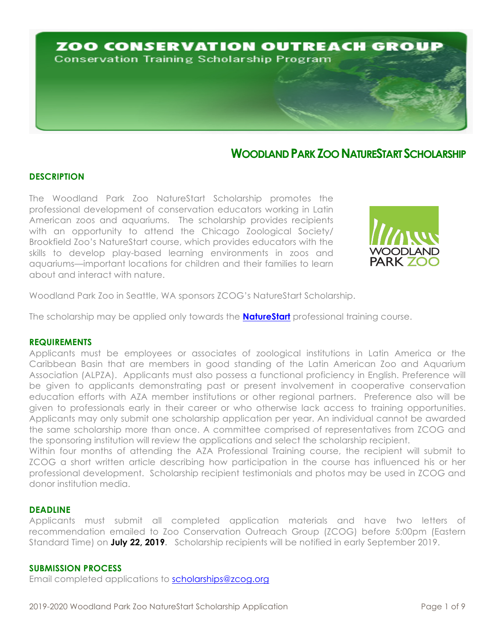

## **WOODLAND PARKZOO NATURESTARTSCHOLARSHIP**

## **DESCRIPTION**

The Woodland Park Zoo NatureStart Scholarship promotes the professional development of conservation educators working in Latin American zoos and aquariums. The scholarship provides recipients with an opportunity to attend the Chicago Zoological Society/ Brookfield Zoo's NatureStart course, which provides educators with the skills to develop play-based learning environments in zoos and aquariums—important locations for children and their families to learn about and interact with nature.



Woodland Park Zoo in Seattle, WA sponsors ZCOG's NatureStart Scholarship.

The scholarship may be applied only towards the **NatureStart** professional training course.

#### **REQUIREMENTS**

Applicants must be employees or associates of zoological institutions in Latin America or the Caribbean Basin that are members in good standing of the Latin American Zoo and Aquarium Association (ALPZA). Applicants must also possess a functional proficiency in English. Preference will be given to applicants demonstrating past or present involvement in cooperative conservation education efforts with AZA member institutions or other regional partners. Preference also will be given to professionals early in their career or who otherwise lack access to training opportunities. Applicants may only submit one scholarship application per year. An individual cannot be awarded the same scholarship more than once. A committee comprised of representatives from ZCOG and the sponsoring institution will review the applications and select the scholarship recipient.

Within four months of attending the AZA Professional Training course, the recipient will submit to ZCOG a short written article describing how participation in the course has influenced his or her professional development. Scholarship recipient testimonials and photos may be used in ZCOG and donor institution media.

#### **DEADLINE**

Applicants must submit all completed application materials and have two letters of recommendation emailed to Zoo Conservation Outreach Group (ZCOG) before 5:00pm (Eastern Standard Time) on **July 22, 2019.** Scholarship recipients will be notified in early September 2019.

#### **SUBMISSION PROCESS**

Email completed applications to scholarships@zcog.org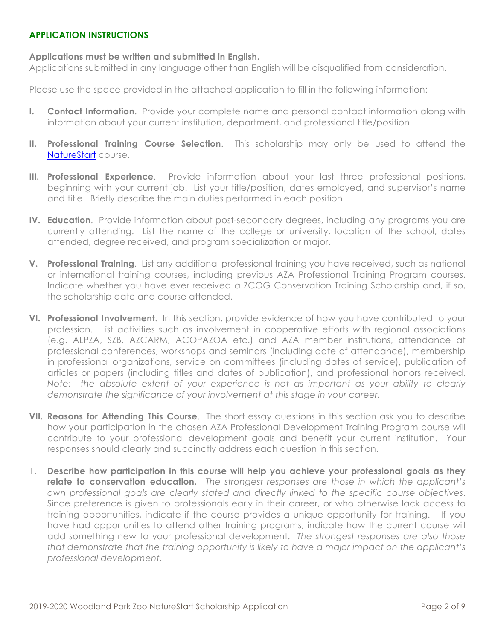## **APPLICATION INSTRUCTIONS**

## **Applications must be written and submitted in English.**

Applications submitted in any language other than English will be disqualified from consideration.

Please use the space provided in the attached application to fill in the following information:

- **I. Contact Information**. Provide your complete name and personal contact information along with information about your current institution, department, and professional title/position.
- **II. Professional Training Course Selection**. This scholarship may only be used to attend the NatureStart course.
- **III. Professional Experience**. Provide information about your last three professional positions, beginning with your current job. List your title/position, dates employed, and supervisor's name and title. Briefly describe the main duties performed in each position.
- **IV. Education**. Provide information about post-secondary degrees, including any programs you are currently attending. List the name of the college or university, location of the school, dates attended, degree received, and program specialization or major.
- **V. Professional Training**. List any additional professional training you have received, such as national or international training courses, including previous AZA Professional Training Program courses. Indicate whether you have ever received a ZCOG Conservation Training Scholarship and, if so, the scholarship date and course attended.
- **VI. Professional Involvement**. In this section, provide evidence of how you have contributed to your profession. List activities such as involvement in cooperative efforts with regional associations (e.g. ALPZA, SZB, AZCARM, ACOPAZOA etc.) and AZA member institutions, attendance at professional conferences, workshops and seminars (including date of attendance), membership in professional organizations, service on committees (including dates of service), publication of articles or papers (including titles and dates of publication), and professional honors received. *Note: the absolute extent of your experience is not as important as your ability to clearly demonstrate the significance of your involvement at this stage in your career.*
- **VII. Reasons for Attending This Course**. The short essay questions in this section ask you to describe how your participation in the chosen AZA Professional Development Training Program course will contribute to your professional development goals and benefit your current institution. Your responses should clearly and succinctly address each question in this section.
- 1. **Describe how participation in this course will help you achieve your professional goals as they relate to conservation education.** *The strongest responses are those in which the applicant's own professional goals are clearly stated and directly linked to the specific course objectives*. Since preference is given to professionals early in their career, or who otherwise lack access to training opportunities, indicate if the course provides a unique opportunity for training. If you have had opportunities to attend other training programs, indicate how the current course will add something new to your professional development. *The strongest responses are also those that demonstrate that the training opportunity is likely to have a major impact on the applicant's professional development*.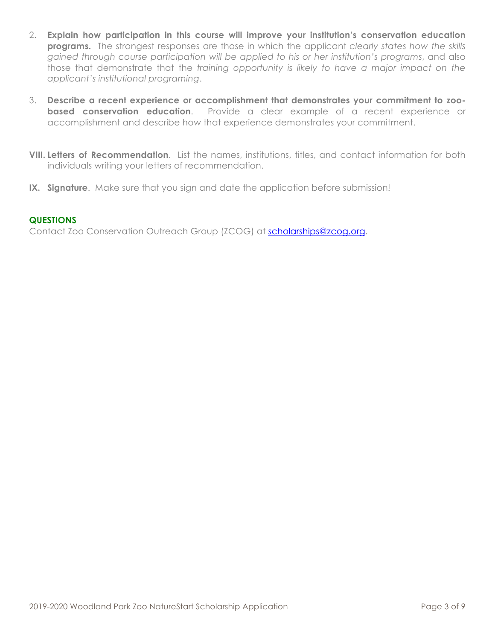- 2. **Explain how participation in this course will improve your institution's conservation education programs.** The strongest responses are those in which the applicant *clearly states how the skills gained through course participation will be applied to his or her institution's programs*, and also those that demonstrate that the *training opportunity is likely to have a major impact on the applicant's institutional programing*.
- 3. **Describe a recent experience or accomplishment that demonstrates your commitment to zoobased conservation education**. Provide a clear example of a recent experience or accomplishment and describe how that experience demonstrates your commitment.
- **VIII. Letters of Recommendation**. List the names, institutions, titles, and contact information for both individuals writing your letters of recommendation.
- **IX. Signature**. Make sure that you sign and date the application before submission!

## **QUESTIONS**

Contact Zoo Conservation Outreach Group (ZCOG) at scholarships@zcog.org.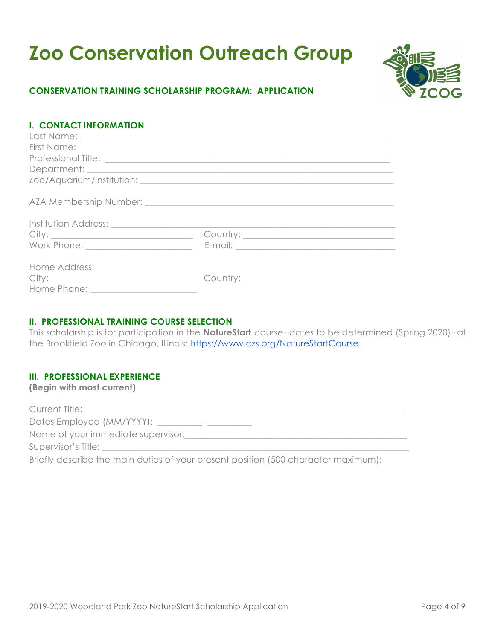# **Zoo Conservation Outreach Group**



## **CONSERVATION TRAINING SCHOLARSHIP PROGRAM: APPLICATION**

## **I. CONTACT INFORMATION**

## **II. PROFESSIONAL TRAINING COURSE SELECTION**

This scholarship is for participation in the **NatureStart** course--dates to be determined (Spring 2020)--at the Brookfield Zoo in Chicago, Illinois: https://www.czs.org/NatureStartCourse

## **III. PROFESSIONAL EXPERIENCE**

**(Begin with most current)**

| Current Title:                                                                     |
|------------------------------------------------------------------------------------|
| Dates Employed (MM/YYYY): __                                                       |
| Name of your immediate supervisor:                                                 |
| Supervisor's Title:                                                                |
| Briefly describe the main duties of your present position (500 character maximum): |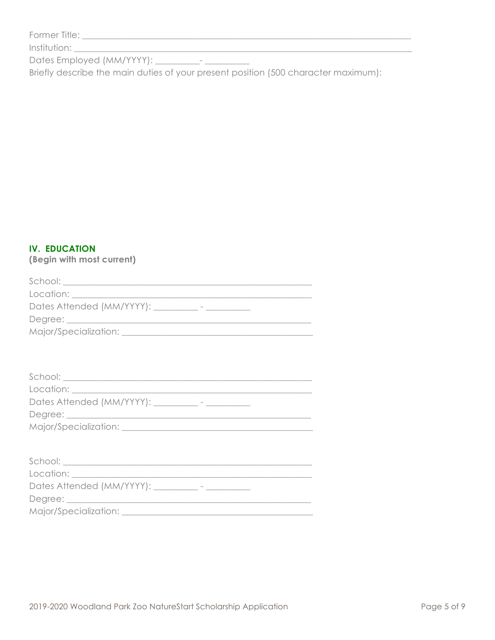| Former Title: |  |
|---------------|--|
|               |  |

Briefly describe the main duties of your present position (500 character maximum):

## **IV. EDUCATION**

(Begin with most current)

| Dates Attended (MM/YYYY): ____________- - ___________ |  |
|-------------------------------------------------------|--|
|                                                       |  |
|                                                       |  |
|                                                       |  |
|                                                       |  |
|                                                       |  |
|                                                       |  |
|                                                       |  |
| Dates Attended (MM/YYYY): _________- - ____________   |  |
|                                                       |  |
|                                                       |  |
|                                                       |  |
|                                                       |  |
|                                                       |  |
|                                                       |  |
| Dates Attended (MM/YYYY): _________- - ____________   |  |
|                                                       |  |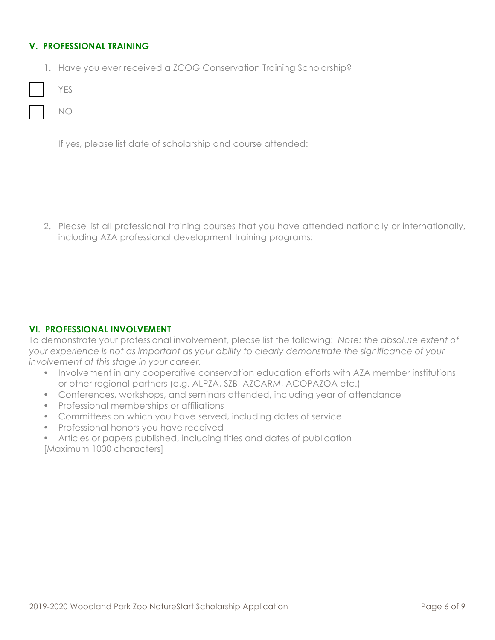## **V. PROFESSIONAL TRAINING**

1. Have you ever received a ZCOG Conservation Training Scholarship?

|  | M. |
|--|----|
|--|----|

NO

If yes, please list date of scholarship and course attended:

2. Please list all professional training courses that you have attended nationally or internationally, including AZA professional development training programs:

## **VI. PROFESSIONAL INVOLVEMENT**

To demonstrate your professional involvement, please list the following: *Note: the absolute extent of your experience is not as important as your ability to clearly demonstrate the significance of your involvement at this stage in your career.*

- Involvement in any cooperative conservation education efforts with AZA member institutions or other regional partners (e.g. ALPZA, SZB, AZCARM, ACOPAZOA etc.)
- Conferences, workshops, and seminars attended, including year of attendance
- Professional memberships or affiliations
- Committees on which you have served, including dates of service
- Professional honors you have received
- Articles or papers published, including titles and dates of publication

[Maximum 1000 characters]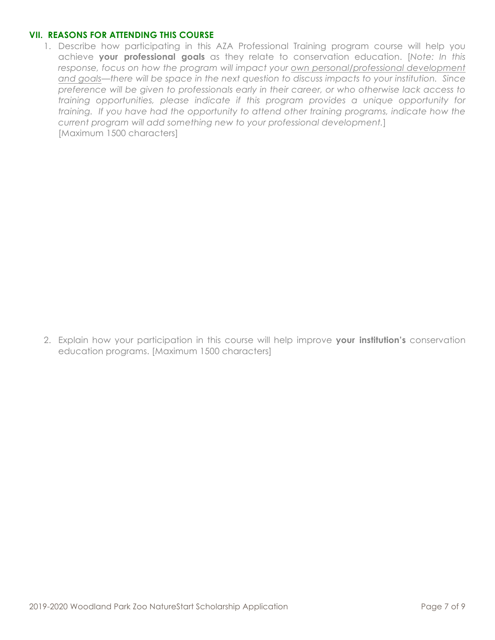## **VII. REASONS FOR ATTENDING THIS COURSE**

1. Describe how participating in this AZA Professional Training program course will help you achieve **your professional goals** as they relate to conservation education. [*Note: In this*  response, focus on how the program will impact your own personal/professional development *and goals—there will be space in the next question to discuss impacts to your institution. Since preference will be given to professionals early in their career, or who otherwise lack access to training opportunities, please indicate if this program provides a unique opportunity for training. If you have had the opportunity to attend other training programs, indicate how the current program will add something new to your professional development.*] [Maximum 1500 characters]

2. Explain how your participation in this course will help improve **your institution's** conservation education programs. [Maximum 1500 characters]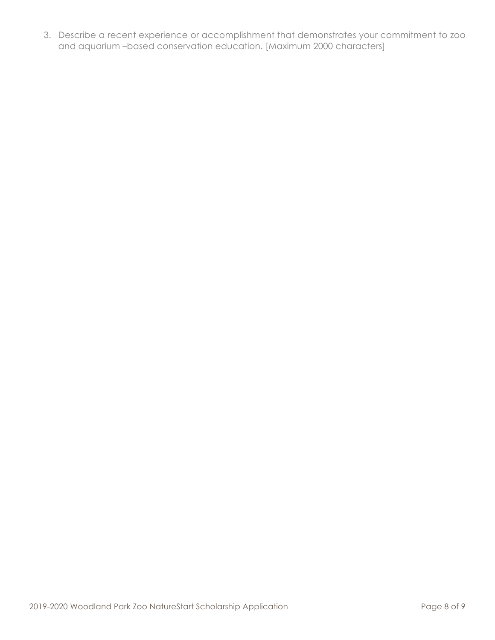3. Describe a recent experience or accomplishment that demonstrates your commitment to zoo and aquarium –based conservation education. [Maximum 2000 characters]